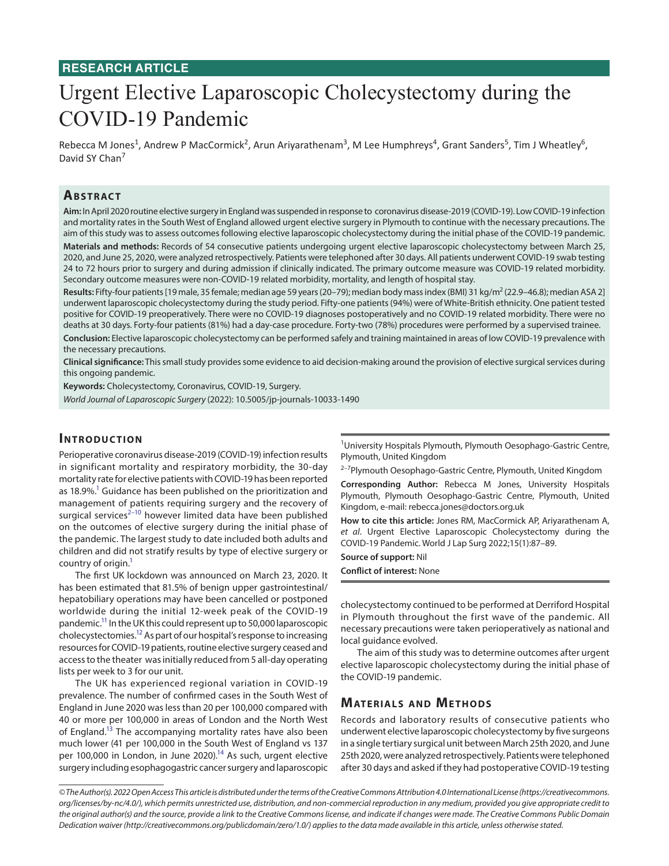## **RESEARCH ARTICLE**

# Urgent Elective Laparoscopic Cholecystectomy during the COVID-19 Pandemic

Rebecca M Jones<sup>1</sup>, Andrew P MacCormick<sup>2</sup>, Arun Ariyarathenam<sup>3</sup>, M Lee Humphreys<sup>4</sup>, Grant Sanders<sup>5</sup>, Tim J Wheatley<sup>6</sup>, David SY Chan<sup>7</sup>

## **ABSTRACT**

**Aim:** In April 2020 routine elective surgery in England was suspended in response to coronavirus disease-2019 (COVID-19). Low COVID-19 infection and mortality rates in the South West of England allowed urgent elective surgery in Plymouth to continue with the necessary precautions. The aim of this study was to assess outcomes following elective laparoscopic cholecystectomy during the initial phase of the COVID-19 pandemic.

**Materials and methods:** Records of 54 consecutive patients undergoing urgent elective laparoscopic cholecystectomy between March 25, 2020, and June 25, 2020, were analyzed retrospectively. Patients were telephoned after 30 days. All patients underwent COVID-19 swab testing 24 to 72 hours prior to surgery and during admission if clinically indicated. The primary outcome measure was COVID-19 related morbidity. Secondary outcome measures were non-COVID-19 related morbidity, mortality, and length of hospital stay.

Results: Fifty-four patients [19 male, 35 female; median age 59 years (20–79); median body mass index (BMI) 31 kg/m<sup>2</sup> (22.9–46.8); median ASA 2] underwent laparoscopic cholecystectomy during the study period. Fifty-one patients (94%) were of White-British ethnicity. One patient tested positive for COVID-19 preoperatively. There were no COVID-19 diagnoses postoperatively and no COVID-19 related morbidity. There were no deaths at 30 days. Forty-four patients (81%) had a day-case procedure. Forty-two (78%) procedures were performed by a supervised trainee.

**Conclusion:** Elective laparoscopic cholecystectomy can be performed safely and training maintained in areas of low COVID-19 prevalence with the necessary precautions.

**Clinical significance:** This small study provides some evidence to aid decision-making around the provision of elective surgical services during this ongoing pandemic.

**Keywords:** Cholecystectomy, Coronavirus, COVID-19, Surgery.

*World Journal of Laparoscopic Surgery* (2022): 10.5005/jp-journals-10033-1490

#### **INTRODUCTION**

Perioperative coronavirus disease-2019 (COVID-19) infection results in significant mortality and respiratory morbidity, the 30-day mortality rate for elective patients with COVID-19 has been reported as 18.9%.<sup>1</sup> Guidance has been published on the prioritization and management of patients requiring surgery and the recovery of surgical services $^{2-10}$  $^{2-10}$  $^{2-10}$  however limited data have been published on the outcomes of elective surgery during the initial phase of the pandemic. The largest study to date included both adults and children and did not stratify results by type of elective surgery or country of origin.<sup>1</sup>

The first UK lockdown was announced on March 23, 2020. It has been estimated that 81.5% of benign upper gastrointestinal/ hepatobiliary operations may have been cancelled or postponed worldwide during the initial 12-week peak of the COVID-19 pandemic[.11](#page-2-3) In the UK this could represent up to 50,000 laparoscopic cholecystectomies[.12](#page-2-4) As part of our hospital's response to increasing resources for COVID-19 patients, routine elective surgery ceased and access to the theater was initially reduced from 5 all-day operating lists per week to 3 for our unit.

The UK has experienced regional variation in COVID-19 prevalence. The number of confirmed cases in the South West of England in June 2020 was less than 20 per 100,000 compared with 40 or more per 100,000 in areas of London and the North West of England.<sup>13</sup> The accompanying mortality rates have also been much lower (41 per 100,000 in the South West of England vs 137 per 100,000 in London, in June 2020).<sup>14</sup> As such, urgent elective surgery including esophagogastric cancer surgery and laparoscopic

<sup>1</sup>University Hospitals Plymouth, Plymouth Oesophago-Gastric Centre, Plymouth, United Kingdom

<sup>2-7</sup>Plymouth Oesophago-Gastric Centre, Plymouth, United Kingdom

**Corresponding Author:** Rebecca M Jones, University Hospitals Plymouth, Plymouth Oesophago-Gastric Centre, Plymouth, United Kingdom, e-mail: rebecca.jones@doctors.org.uk

**How to cite this article:** Jones RM, MacCormick AP, Ariyarathenam A, *et al*. Urgent Elective Laparoscopic Cholecystectomy during the COVID-19 Pandemic. World J Lap Surg 2022;15(1):87–89.

**Source of support:** Nil

**Conflict of interest:** None

cholecystectomy continued to be performed at Derriford Hospital in Plymouth throughout the first wave of the pandemic. All necessary precautions were taken perioperatively as national and local guidance evolved.

The aim of this study was to determine outcomes after urgent elective laparoscopic cholecystectomy during the initial phase of the COVID-19 pandemic.

## **MATERIALS AND METHODS**

Records and laboratory results of consecutive patients who underwent elective laparoscopic cholecystectomy by five surgeons in a single tertiary surgical unit between March 25th 2020, and June 25th 2020, were analyzed retrospectively. Patients were telephoned after 30 days and asked if they had postoperative COVID-19 testing

*<sup>©</sup> The Author(s). 2022 Open Access This article is distributed under the terms of the Creative Commons Attribution 4.0 International License ([https://creativecommons.](https://creativecommons.org/licenses/by-nc/4.0/) [org/licenses/by-nc/4.0/](https://creativecommons.org/licenses/by-nc/4.0/)), which permits unrestricted use, distribution, and non-commercial reproduction in any medium, provided you give appropriate credit to the original author(s) and the source, provide a link to the Creative Commons license, and indicate if changes were made. The Creative Commons Public Domain Dedication waiver ([http://creativecommons.org/publicdomain/zero/1.0/\)](http://creativecommons.org/publicdomain/zero/1.0/) applies to the data made available in this article, unless otherwise stated.*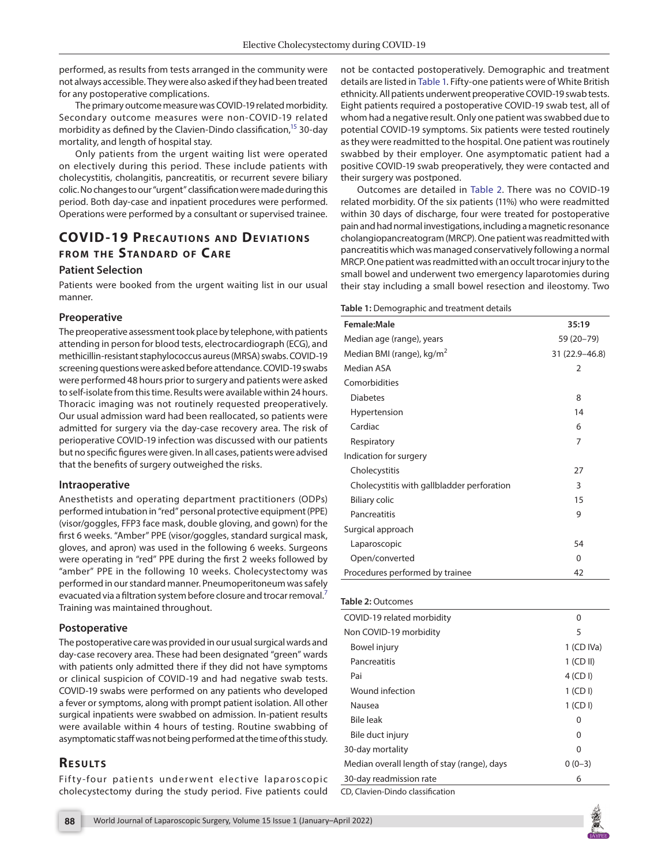performed, as results from tests arranged in the community were not always accessible. They were also asked if they had been treated for any postoperative complications.

The primary outcome measure was COVID-19 related morbidity. Secondary outcome measures were non-COVID-19 related morbidity as defined by the Clavien-Dindo classification, $15$  30-day mortality, and length of hospital stay.

Only patients from the urgent waiting list were operated on electively during this period. These include patients with cholecystitis, cholangitis, pancreatitis, or recurrent severe biliary colic. No changes to our "urgent" classification were made during this period. Both day-case and inpatient procedures were performed. Operations were performed by a consultant or supervised trainee.

# **COVID-19 PRECAUTIONS AND DEVIATIONS fROM THE STANDARD OF CARE**

#### **Patient Selection**

Patients were booked from the urgent waiting list in our usual manner.

#### **Preoperative**

The preoperative assessment took place by telephone, with patients attending in person for blood tests, electrocardiograph (ECG), and methicillin-resistant staphylococcus aureus (MRSA) swabs. COVID-19 screening questions were asked before attendance. COVID-19 swabs were performed 48 hours prior to surgery and patients were asked to self-isolate from this time. Results were available within 24 hours. Thoracic imaging was not routinely requested preoperatively. Our usual admission ward had been reallocated, so patients were admitted for surgery via the day-case recovery area. The risk of perioperative COVID-19 infection was discussed with our patients but no specific figures were given. In all cases, patients were advised that the benefits of surgery outweighed the risks.

#### **Intraoperative**

Anesthetists and operating department practitioners (ODPs) performed intubation in "red" personal protective equipment (PPE) (visor/goggles, FFP3 face mask, double gloving, and gown) for the first 6 weeks. "Amber" PPE (visor/goggles, standard surgical mask, gloves, and apron) was used in the following 6 weeks. Surgeons were operating in "red" PPE during the first 2 weeks followed by "amber" PPE in the following 10 weeks. Cholecystectomy was performed in our standard manner. Pneumoperitoneum was safely evacuated via a filtration system before closure and trocar removal.<sup>[7](#page-2-8)</sup> Training was maintained throughout.

#### **Postoperative**

The postoperative care was provided in our usual surgical wards and day-case recovery area. These had been designated "green" wards with patients only admitted there if they did not have symptoms or clinical suspicion of COVID-19 and had negative swab tests. COVID-19 swabs were performed on any patients who developed a fever or symptoms, along with prompt patient isolation. All other surgical inpatients were swabbed on admission. In-patient results were available within 4 hours of testing. Routine swabbing of asymptomatic staff was not being performed at the time of this study.

## **RESULTS**

Fifty-four patients underwent elective laparoscopic cholecystectomy during the study period. Five patients could not be contacted postoperatively. Demographic and treatment details are listed in [Table 1.](#page-1-0) Fifty-one patients were of White British ethnicity. All patients underwent preoperative COVID-19 swab tests. Eight patients required a postoperative COVID-19 swab test, all of whom had a negative result. Only one patient was swabbed due to potential COVID-19 symptoms. Six patients were tested routinely as they were readmitted to the hospital. One patient was routinely swabbed by their employer. One asymptomatic patient had a positive COVID-19 swab preoperatively, they were contacted and their surgery was postponed.

Outcomes are detailed in [Table 2.](#page-1-1) There was no COVID-19 related morbidity. Of the six patients (11%) who were readmitted within 30 days of discharge, four were treated for postoperative pain and had normal investigations, including a magnetic resonance cholangiopancreatogram (MRCP). One patient was readmitted with pancreatitis which was managed conservatively following a normal MRCP. One patient was readmitted with an occult trocar injury to the small bowel and underwent two emergency laparotomies during their stay including a small bowel resection and ileostomy. Two

<span id="page-1-0"></span>**Table 1:** Demographic and treatment details

| Female:Male                                | 35:19            |
|--------------------------------------------|------------------|
| Median age (range), years                  | 59 (20-79)       |
| Median BMI (range), kg/m <sup>2</sup>      | 31 (22.9 - 46.8) |
| Median ASA                                 | 2                |
| Comorbidities                              |                  |
| <b>Diabetes</b>                            | 8                |
| Hypertension                               | 14               |
| Cardiac                                    | 6                |
| Respiratory                                | 7                |
| Indication for surgery                     |                  |
| Cholecystitis                              | 27               |
| Cholecystitis with gallbladder perforation | 3                |
| <b>Biliary colic</b>                       | 15               |
| Pancreatitis                               | 9                |
| Surgical approach                          |                  |
| Laparoscopic                               | 54               |
| Open/converted                             | 0                |
| Procedures performed by trainee            | 42               |
|                                            |                  |

#### <span id="page-1-1"></span>**Table 2:** Outcomes

| COVID-19 related morbidity                  | 0            |
|---------------------------------------------|--------------|
| Non COVID-19 morbidity                      | 5            |
| Bowel injury                                | $1$ (CD IVa) |
| Pancreatitis                                | $1$ (CD II)  |
| Pai                                         | $4$ (CD I)   |
| Wound infection                             | $1$ (CD I)   |
| Nausea                                      | $1$ (CD I)   |
| <b>Bile leak</b>                            | 0            |
| Bile duct injury                            | 0            |
| 30-day mortality                            | 0            |
| Median overall length of stay (range), days | $0(0-3)$     |
| 30-day readmission rate                     | 6            |
|                                             |              |

CD, Clavien-Dindo classification